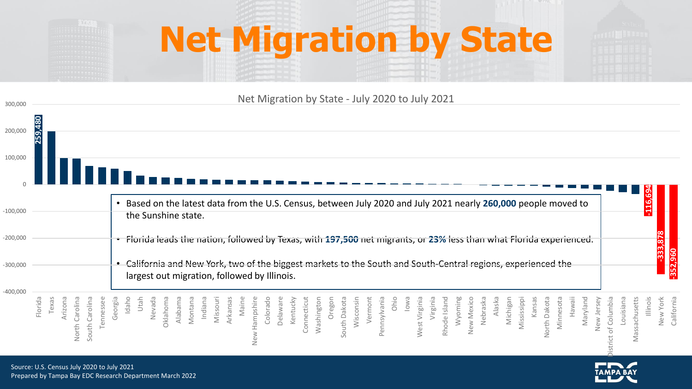## **Net Migration by State**



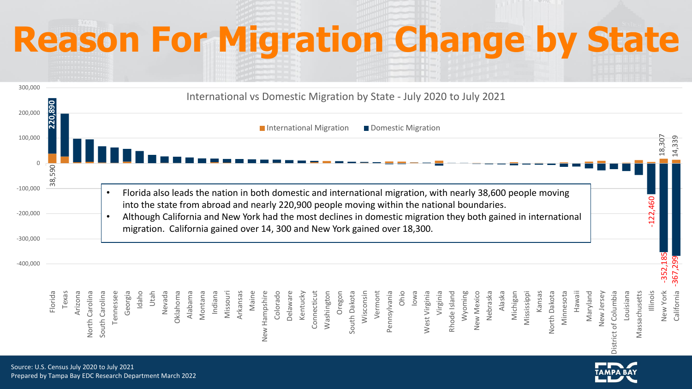# **Reason For Migration Change by State**



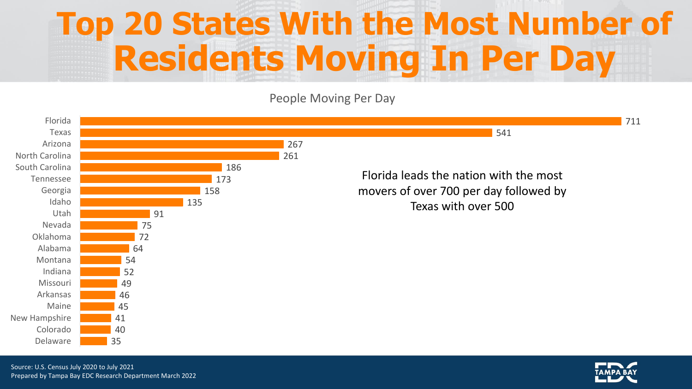#### **Top 20 States With the Most Number of Residents Moving In Per Day**

People Moving Per Day



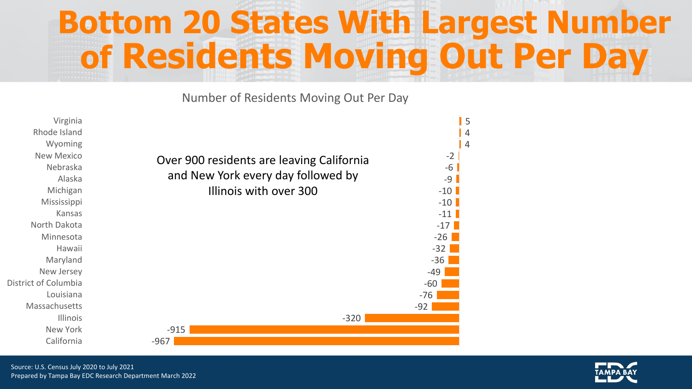#### **Bottom 20 States With Largest Number of Residents Moving Out Per Day**

Number of Residents Moving Out Per Day



Source: U.S. Census July 2020 to July 2021 Prepared by Tampa Bay EDC Research Department March 2022